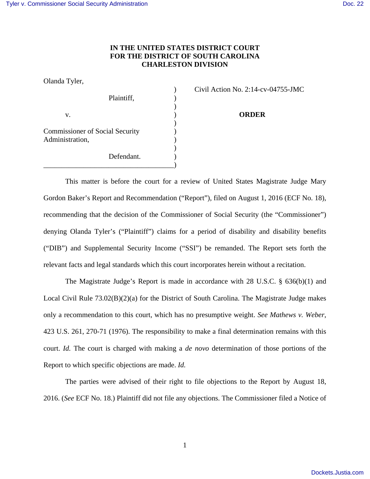## **IN THE UNITED STATES DISTRICT COURT FOR THE DISTRICT OF SOUTH CAROLINA CHARLESTON DIVISION**

Olanda Tyler,

|                                        | $C_{1}$ and the set of $110$ . $2.17$ C |
|----------------------------------------|-----------------------------------------|
| Plaintiff,                             |                                         |
|                                        |                                         |
| v.                                     | <b>ORDER</b>                            |
| <b>Commissioner of Social Security</b> |                                         |
| Administration,                        |                                         |
| Defendant.                             |                                         |
|                                        |                                         |

) Civil Action No. 2:14-cv-04755-JMC

This matter is before the court for a review of United States Magistrate Judge Mary Gordon Baker's Report and Recommendation ("Report"), filed on August 1, 2016 (ECF No. 18), recommending that the decision of the Commissioner of Social Security (the "Commissioner") denying Olanda Tyler's ("Plaintiff") claims for a period of disability and disability benefits ("DIB") and Supplemental Security Income ("SSI") be remanded. The Report sets forth the relevant facts and legal standards which this court incorporates herein without a recitation.

 The Magistrate Judge's Report is made in accordance with 28 U.S.C. § 636(b)(1) and Local Civil Rule 73.02(B)(2)(a) for the District of South Carolina. The Magistrate Judge makes only a recommendation to this court, which has no presumptive weight. *See Mathews v. Weber*, 423 U.S. 261, 270-71 (1976). The responsibility to make a final determination remains with this court. *Id.* The court is charged with making a *de novo* determination of those portions of the Report to which specific objections are made. *Id.*

The parties were advised of their right to file objections to the Report by August 18, 2016. (*See* ECF No. 18.) Plaintiff did not file any objections. The Commissioner filed a Notice of